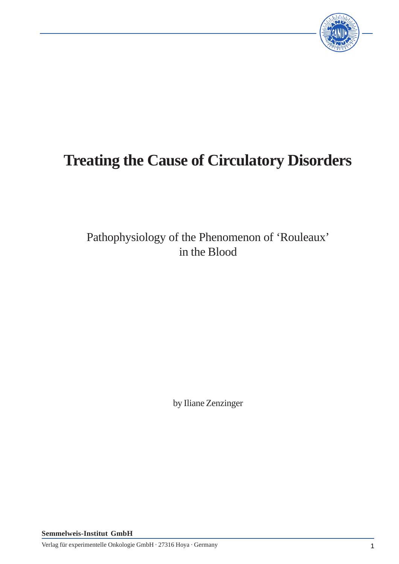

# **Treating the Cause of Circulatory Disorders**

Pathophysiology of the Phenomenon of 'Rouleaux' in the Blood

by Iliane Zenzinger

**Semmelweis-Institut GmbH**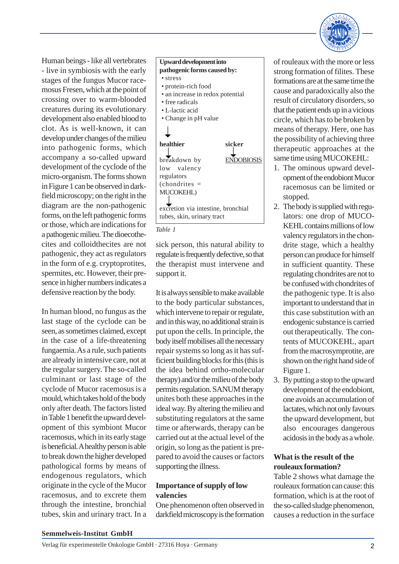

Human beings - like all vertebrates - live in symbiosis with the early stages of the fungus Mucor racemosus Fresen, which at the point of crossing over to warm-blooded creatures during its evolutionary development also enabled blood to clot. As is well-known, it can develop under changes of the milieu into pathogenic forms, which accompany a so-called upward development of the cyclode of the micro-organism. The forms shown in Figure 1 can be observed in darkfield microscopy; on the right in the diagram are the non-pathogenic forms, on the left pathogenic forms or those, which are indications for a pathogenic milieu. The dioecothecites and colloidthecites are not pathogenic, they act as regulators in the form of e.g. cryptoprotites, spermites, etc. However, their presence in higher numbers indicates a defensive reaction by the body.

In human blood, no fungus as the last stage of the cyclode can be seen, as sometimes claimed, except in the case of a life-threatening fungaemia. As a rule, such patients are already in intensive care, not at the regular surgery. The so-called culminant or last stage of the cyclode of Mucor racemosus is a mould, which takes hold of the body only after death. The factors listed in Table 1 benefit the upward development of this symbiont Mucor racemosus, which in its early stage is beneficial. A healthy person is able to break down the higher developed pathological forms by means of endogenous regulators, which originate in the cycle of the Mucor racemosus, and to excrete them through the intestine, bronchial tubes, skin and urinary tract. In a



#### *Table 1*

sick person, this natural ability to regulate is frequently defective, so that the therapist must intervene and support it.

It is always sensible to make available to the body particular substances, which intervene to repair or regulate, and in this way, no additional strain is put upon the cells. In principle, the body itself mobilises all the necessary repair systems so long as it has sufficient building blocks for this (this is the idea behind ortho-molecular therapy) and/or the milieu of the body permits regulation. SANUM therapy unites both these approaches in the ideal way. By altering the milieu and substituting regulators at the same time or afterwards, therapy can be carried out at the actual level of the origin, so long as the patient is prepared to avoid the causes or factors supporting the illness.

## **Importance of supply of low valencies**

One phenomenon often observed in darkfield microscopy is the formation of rouleaux with the more or less strong formation of filites. These formations are at the same time the cause and paradoxically also the result of circulatory disorders, so that the patient ends up in a vicious circle, which has to be broken by means of therapy. Here, one has the possibility of achieving three therapeutic approaches at the same time using MUCOKEHL:

- 1. The ominous upward development of the endobiont Mucor racemosus can be limited or stopped.
- 2. The body is supplied with regulators: one drop of MUCO-KEHL contains millions of low valency regulators in the chondrite stage, which a healthy person can produce for himself in sufficient quantity. These regulating chondrites are not to be confused with chondrites of the pathogenic type. It is also important to understand that in this case substitution with an endogenic substance is carried out therapeutically. The contents of MUCOKEHL, apart from the macrosymprotite, are shown on the right hand side of Figure 1.
- 3. By putting a stop to the upward development of the endobiont, one avoids an accumulation of lactates, which not only favours the upward development, but also encourages dangerous acidosis in the body as a whole.

# **What is the result of the rouleaux formation?**

Table 2 shows what damage the rouleaux formation can cause: this formation, which is at the root of the so-called sludge phenomenon, causes a reduction in the surface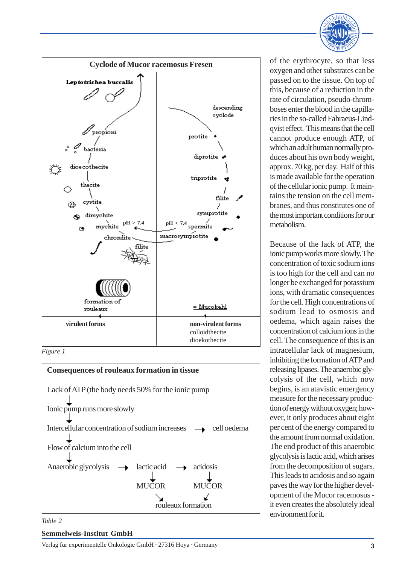







*Table 2*

### **Semmelweis-Institut GmbH**

of the erythrocyte, so that less oxygen and other substrates can be passed on to the tissue. On top of this, because of a reduction in the rate of circulation, pseudo-thromboses enter the blood in the capillaries in the so-called Fahraeus-Lindqvist effect. This means that the cell cannot produce enough ATP, of which an adult human normally produces about his own body weight, approx. 70 kg, per day. Half of this is made available for the operation of the cellular ionic pump. It maintains the tension on the cell membranes, and thus constitutes one of the most important conditions for our metabolism.

Because of the lack of ATP, the ionic pump works more slowly. The concentration of toxic sodium ions is too high for the cell and can no longer be exchanged for potassium ions, with dramatic consequences for the cell. High concentrations of sodium lead to osmosis and oedema, which again raises the concentration of calcium ions in the cell. The consequence of this is an intracellular lack of magnesium, inhibiting the formation of ATP and releasing lipases. The anaerobic glycolysis of the cell, which now begins, is an atavistic emergency measure for the necessary production of energy without oxygen; however, it only produces about eight per cent of the energy compared to the amount from normal oxidation. The end product of this anaerobic glycolysis is lactic acid, which arises from the decomposition of sugars. This leads to acidosis and so again paves the way for the higher development of the Mucor racemosus it even creates the absolutely ideal environment for it.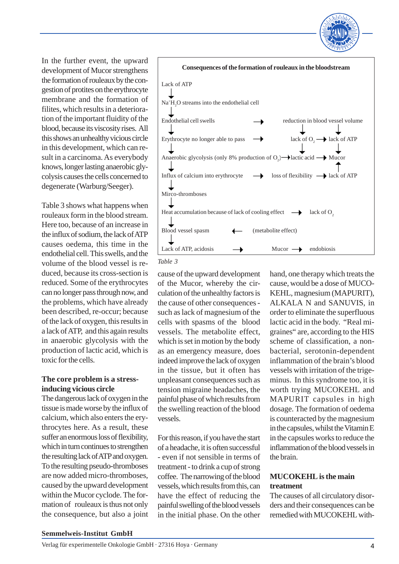In the further event, the upward development of Mucor strengthens the formation of rouleaux by the congestion of protites on the erythrocyte membrane and the formation of filites, which results in a deterioration of the important fluidity of the blood, because its viscosity rises. All this shows an unhealthy vicious circle in this development, which can result in a carcinoma. As everybody knows, longer lasting anaerobic glycolysis causes the cells concerned to degenerate (Warburg/Seeger).

Table 3 shows what happens when rouleaux form in the blood stream. Here too, because of an increase in the influx of sodium, the lack of ATP causes oedema, this time in the endothelial cell. This swells, and the volume of the blood vessel is reduced, because its cross-section is reduced. Some of the erythrocytes can no longer pass through now, and the problems, which have already been described, re-occur; because of the lack of oxygen, this results in a lack of ATP, and this again results in anaerobic glycolysis with the production of lactic acid, which is toxic for the cells.

# **The core problem is a stressinducing vicious circle**

The dangerous lack of oxygen in the tissue is made worse by the influx of calcium, which also enters the erythrocytes here. As a result, these suffer an enormous loss of flexibility, which in turn continues to strengthen the resulting lack of ATP and oxygen. To the resulting pseudo-thromboses are now added micro-thromboses, caused by the upward development within the Mucor cyclode. The formation of rouleaux is thus not only the consequence, but also a joint



#### *Table 3*

cause of the upward development of the Mucor, whereby the circulation of the unhealthy factors is the cause of other consequences such as lack of magnesium of the cells with spasms of the blood vessels. The metabolite effect, which is set in motion by the body as an emergency measure, does indeed improve the lack of oxygen in the tissue, but it often has unpleasant consequences such as tension migraine headaches, the painful phase of which results from the swelling reaction of the blood vessels.

For this reason, if you have the start of a headache, it is often successful - even if not sensible in terms of treatment - to drink a cup of strong coffee. The narrowing of the blood vessels, which results from this, can have the effect of reducing the painful swelling of the blood vessels in the initial phase. On the other

hand, one therapy which treats the cause, would be a dose of MUCO-KEHL, magnesium (MAPURIT), ALKALA N and SANUVIS, in order to eliminate the superfluous lactic acid in the body. "Real migraines" are, according to the HIS scheme of classification, a nonbacterial, serotonin-dependent inflammation of the brain's blood vessels with irritation of the trigeminus. In this syndrome too, it is worth trying MUCOKEHL and MAPURIT capsules in high dosage. The formation of oedema is counteracted by the magnesium in the capsules, whilst the Vitamin E in the capsules works to reduce the inflammation of the blood vessels in the brain.

# **MUCOKEHL is the main treatment**

The causes of all circulatory disorders and their consequences can be remedied with MUCOKEHL with-